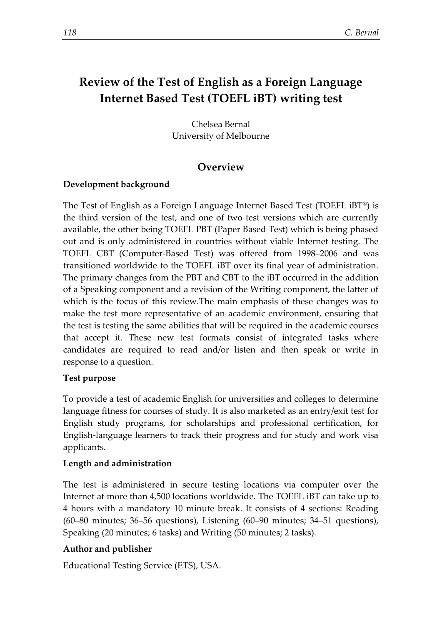# **Review of the Test of English as a Foreign Language Internet Based Test (TOEFL iBT) writing test**

Chelsea Bernal University of Melbourne

# **Overview**

# **Development background**

The Test of English as a Foreign Language Internet Based Test (TOEFL iBT®) is the third version of the test, and one of two test versions which are currently available, the other being TOEFL PBT (Paper Based Test) which is being phased out and is only administered in countries without viable Internet testing. The TOEFL CBT (Computer-Based Test) was offered from 1998–2006 and was transitioned worldwide to the TOEFL iBT over its final year of administration. The primary changes from the PBT and CBT to the iBT occurred in the addition of a Speaking component and a revision of the Writing component, the latter of which is the focus of this review.The main emphasis of these changes was to make the test more representative of an academic environment, ensuring that the test is testing the same abilities that will be required in the academic courses that accept it. These new test formats consist of integrated tasks where candidates are required to read and/or listen and then speak or write in response to a question.

#### **Test purpose**

To provide a test of academic English for universities and colleges to determine language fitness for courses of study. It is also marketed as an entry/exit test for English study programs, for scholarships and professional certification, for English-language learners to track their progress and for study and work visa applicants.

# **Length and administration**

The test is administered in secure testing locations via computer over the Internet at more than 4,500 locations worldwide. The TOEFL iBT can take up to 4 hours with a mandatory 10 minute break. It consists of 4 sections: Reading (60–80 minutes; 36–56 questions), Listening (60–90 minutes; 34–51 questions), Speaking (20 minutes; 6 tasks) and Writing (50 minutes; 2 tasks).

# **Author and publisher**

Educational Testing Service (ETS), USA.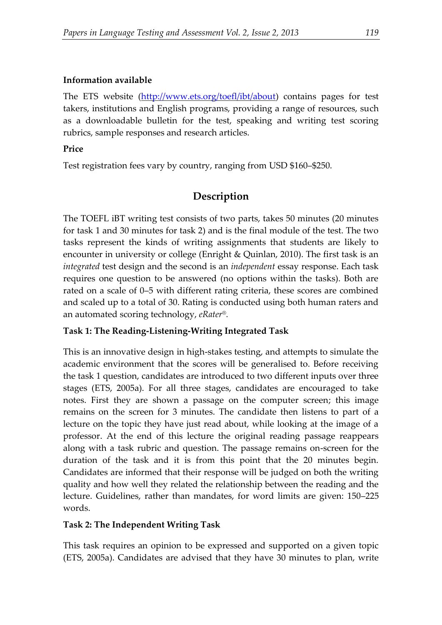## **Information available**

The ETS website [\(http://www.ets.org/toefl/ibt/about\)](http://www.ets.org/toefl/ibt/about) contains pages for test takers, institutions and English programs, providing a range of resources, such as a downloadable bulletin for the test, speaking and writing test scoring rubrics, sample responses and research articles.

## **Price**

Test registration fees vary by country, ranging from USD \$160–\$250.

# **Description**

The TOEFL iBT writing test consists of two parts, takes 50 minutes (20 minutes for task 1 and 30 minutes for task 2) and is the final module of the test. The two tasks represent the kinds of writing assignments that students are likely to encounter in university or college (Enright & Quinlan, 2010). The first task is an *integrated* test design and the second is an *independent* essay response. Each task requires one question to be answered (no options within the tasks). Both are rated on a scale of 0–5 with different rating criteria, these scores are combined and scaled up to a total of 30. Rating is conducted using both human raters and an automated scoring technology, *eRater®.*

# **Task 1: The Reading-Listening-Writing Integrated Task**

This is an innovative design in high-stakes testing, and attempts to simulate the academic environment that the scores will be generalised to. Before receiving the task 1 question, candidates are introduced to two different inputs over three stages (ETS, 2005a). For all three stages, candidates are encouraged to take notes. First they are shown a passage on the computer screen; this image remains on the screen for 3 minutes. The candidate then listens to part of a lecture on the topic they have just read about, while looking at the image of a professor. At the end of this lecture the original reading passage reappears along with a task rubric and question. The passage remains on-screen for the duration of the task and it is from this point that the 20 minutes begin. Candidates are informed that their response will be judged on both the writing quality and how well they related the relationship between the reading and the lecture. Guidelines, rather than mandates, for word limits are given: 150–225 words.

# **Task 2: The Independent Writing Task**

This task requires an opinion to be expressed and supported on a given topic (ETS, 2005a). Candidates are advised that they have 30 minutes to plan, write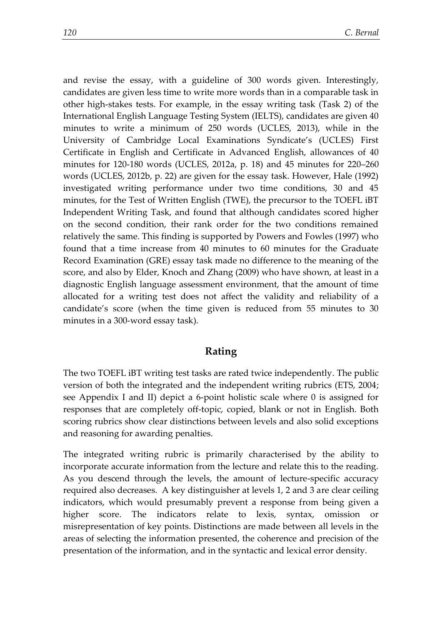and revise the essay, with a guideline of 300 words given. Interestingly, candidates are given less time to write more words than in a comparable task in other high-stakes tests. For example, in the essay writing task (Task 2) of the International English Language Testing System (IELTS), candidates are given 40 minutes to write a minimum of 250 words (UCLES, 2013), while in the University of Cambridge Local Examinations Syndicate's (UCLES) First Certificate in English and Certificate in Advanced English, allowances of 40 minutes for 120-180 words (UCLES, 2012a, p. 18) and 45 minutes for 220–260 words (UCLES, 2012b, p. 22) are given for the essay task. However, Hale (1992) investigated writing performance under two time conditions, 30 and 45 minutes, for the Test of Written English (TWE), the precursor to the TOEFL iBT Independent Writing Task, and found that although candidates scored higher on the second condition, their rank order for the two conditions remained relatively the same. This finding is supported by Powers and Fowles (1997) who found that a time increase from 40 minutes to 60 minutes for the Graduate Record Examination (GRE) essay task made no difference to the meaning of the score, and also by Elder, Knoch and Zhang (2009) who have shown, at least in a diagnostic English language assessment environment, that the amount of time allocated for a writing test does not affect the validity and reliability of a candidate's score (when the time given is reduced from 55 minutes to 30 minutes in a 300-word essay task).

#### **Rating**

The two TOEFL iBT writing test tasks are rated twice independently. The public version of both the integrated and the independent writing rubrics (ETS, 2004; see Appendix I and II) depict a 6-point holistic scale where 0 is assigned for responses that are completely off-topic, copied, blank or not in English. Both scoring rubrics show clear distinctions between levels and also solid exceptions and reasoning for awarding penalties.

The integrated writing rubric is primarily characterised by the ability to incorporate accurate information from the lecture and relate this to the reading. As you descend through the levels, the amount of lecture-specific accuracy required also decreases. A key distinguisher at levels 1, 2 and 3 are clear ceiling indicators, which would presumably prevent a response from being given a higher score. The indicators relate to lexis, syntax, omission or misrepresentation of key points. Distinctions are made between all levels in the areas of selecting the information presented, the coherence and precision of the presentation of the information, and in the syntactic and lexical error density.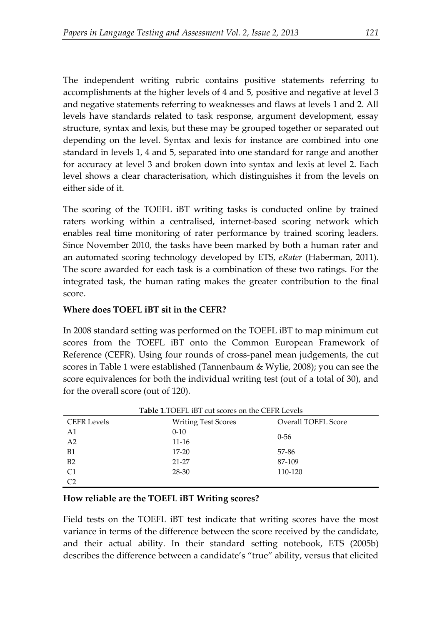The independent writing rubric contains positive statements referring to accomplishments at the higher levels of 4 and 5, positive and negative at level 3 and negative statements referring to weaknesses and flaws at levels 1 and 2. All levels have standards related to task response, argument development, essay structure, syntax and lexis, but these may be grouped together or separated out depending on the level. Syntax and lexis for instance are combined into one standard in levels 1, 4 and 5, separated into one standard for range and another for accuracy at level 3 and broken down into syntax and lexis at level 2. Each level shows a clear characterisation, which distinguishes it from the levels on either side of it.

The scoring of the TOEFL iBT writing tasks is conducted online by trained raters working within a centralised, internet-based scoring network which enables real time monitoring of rater performance by trained scoring leaders. Since November 2010, the tasks have been marked by both a human rater and an automated scoring technology developed by ETS, *eRater* (Haberman, 2011). The score awarded for each task is a combination of these two ratings. For the integrated task, the human rating makes the greater contribution to the final score.

#### **Where does TOEFL iBT sit in the CEFR?**

In 2008 standard setting was performed on the TOEFL iBT to map minimum cut scores from the TOEFL iBT onto the Common European Framework of Reference (CEFR). Using four rounds of cross-panel mean judgements, the cut scores in Table 1 were established (Tannenbaum & Wylie, 2008); you can see the score equivalences for both the individual writing test (out of a total of 30), and for the overall score (out of 120).

| <b>Table 1.TOEFL iBT cut scores on the CEFR Levels</b> |                            |                     |
|--------------------------------------------------------|----------------------------|---------------------|
| <b>CEFR Levels</b>                                     | <b>Writing Test Scores</b> | Overall TOEFL Score |
| A1                                                     | $0 - 10$                   | $0 - 56$            |
| A <sub>2</sub>                                         | $11 - 16$                  |                     |
| <b>B1</b>                                              | $17 - 20$                  | 57-86               |
| B <sub>2</sub>                                         | $21 - 27$                  | 87-109              |
| C1                                                     | 28-30                      | 110-120             |
| C <sub>2</sub>                                         |                            |                     |

**Table 1**.TOEFL iBT cut scores on the CEFR Levels

#### **How reliable are the TOEFL iBT Writing scores?**

Field tests on the TOEFL iBT test indicate that writing scores have the most variance in terms of the difference between the score received by the candidate, and their actual ability. In their standard setting notebook, ETS (2005b) describes the difference between a candidate's "true" ability, versus that elicited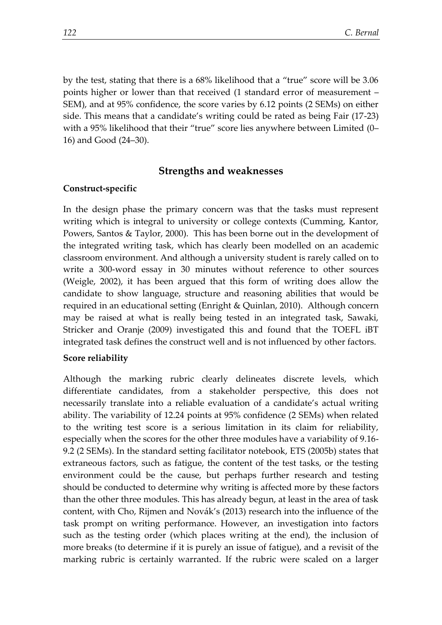by the test, stating that there is a 68% likelihood that a "true" score will be 3.06 points higher or lower than that received (1 standard error of measurement – SEM), and at 95% confidence, the score varies by 6.12 points (2 SEMs) on either side. This means that a candidate's writing could be rated as being Fair (17-23) with a 95% likelihood that their "true" score lies anywhere between Limited (0– 16) and Good (24–30).

### **Strengths and weaknesses**

#### **Construct-specific**

In the design phase the primary concern was that the tasks must represent writing which is integral to university or college contexts (Cumming, Kantor, Powers, Santos & Taylor, 2000). This has been borne out in the development of the integrated writing task, which has clearly been modelled on an academic classroom environment. And although a university student is rarely called on to write a 300-word essay in 30 minutes without reference to other sources (Weigle, 2002), it has been argued that this form of writing does allow the candidate to show language, structure and reasoning abilities that would be required in an educational setting (Enright & Quinlan, 2010). Although concern may be raised at what is really being tested in an integrated task, Sawaki, Stricker and Oranje (2009) investigated this and found that the TOEFL iBT integrated task defines the construct well and is not influenced by other factors.

#### **Score reliability**

Although the marking rubric clearly delineates discrete levels, which differentiate candidates, from a stakeholder perspective, this does not necessarily translate into a reliable evaluation of a candidate's actual writing ability. The variability of 12.24 points at 95% confidence (2 SEMs) when related to the writing test score is a serious limitation in its claim for reliability, especially when the scores for the other three modules have a variability of 9.16- 9.2 (2 SEMs). In the standard setting facilitator notebook, ETS (2005b) states that extraneous factors, such as fatigue, the content of the test tasks, or the testing environment could be the cause, but perhaps further research and testing should be conducted to determine why writing is affected more by these factors than the other three modules. This has already begun, at least in the area of task content, with Cho, Rijmen and Novák's (2013) research into the influence of the task prompt on writing performance. However, an investigation into factors such as the testing order (which places writing at the end), the inclusion of more breaks (to determine if it is purely an issue of fatigue), and a revisit of the marking rubric is certainly warranted. If the rubric were scaled on a larger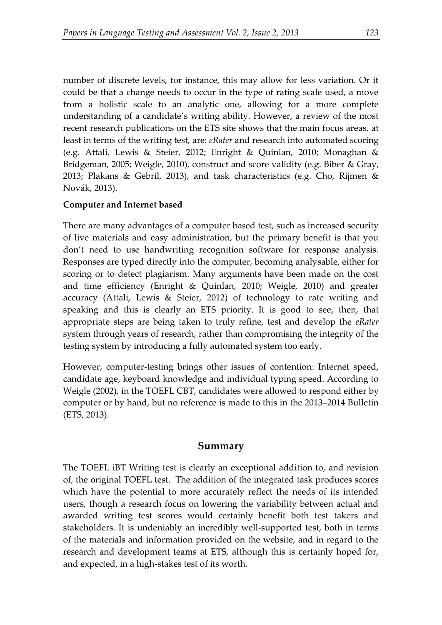number of discrete levels, for instance, this may allow for less variation. Or it could be that a change needs to occur in the type of rating scale used, a move from a holistic scale to an analytic one, allowing for a more complete understanding of a candidate's writing ability. However, a review of the most recent research publications on the ETS site shows that the main focus areas, at least in terms of the writing test, are: *eRater* and research into automated scoring (e.g. Attali, Lewis & Steier, 2012; Enright & Quinlan, 2010; Monaghan & Bridgeman, 2005; Weigle, 2010), construct and score validity (e.g. Biber & Gray, 2013; Plakans & Gebril, 2013), and task characteristics (e.g. Cho, Rijmen & Novák, 2013).

### **Computer and Internet based**

There are many advantages of a computer based test, such as increased security of live materials and easy administration, but the primary benefit is that you don't need to use handwriting recognition software for response analysis. Responses are typed directly into the computer, becoming analysable, either for scoring or to detect plagiarism. Many arguments have been made on the cost and time efficiency (Enright & Quinlan, 2010; Weigle, 2010) and greater accuracy (Attali, Lewis & Steier, 2012) of technology to rate writing and speaking and this is clearly an ETS priority. It is good to see, then, that appropriate steps are being taken to truly refine, test and develop the *eRater* system through years of research, rather than compromising the integrity of the testing system by introducing a fully automated system too early.

However, computer-testing brings other issues of contention: Internet speed, candidate age, keyboard knowledge and individual typing speed. According to Weigle (2002), in the TOEFL CBT, candidates were allowed to respond either by computer or by hand, but no reference is made to this in the 2013–2014 Bulletin (ETS, 2013).

#### **Summary**

The TOEFL iBT Writing test is clearly an exceptional addition to, and revision of, the original TOEFL test. The addition of the integrated task produces scores which have the potential to more accurately reflect the needs of its intended users, though a research focus on lowering the variability between actual and awarded writing test scores would certainly benefit both test takers and stakeholders. It is undeniably an incredibly well-supported test, both in terms of the materials and information provided on the website, and in regard to the research and development teams at ETS, although this is certainly hoped for, and expected, in a high-stakes test of its worth.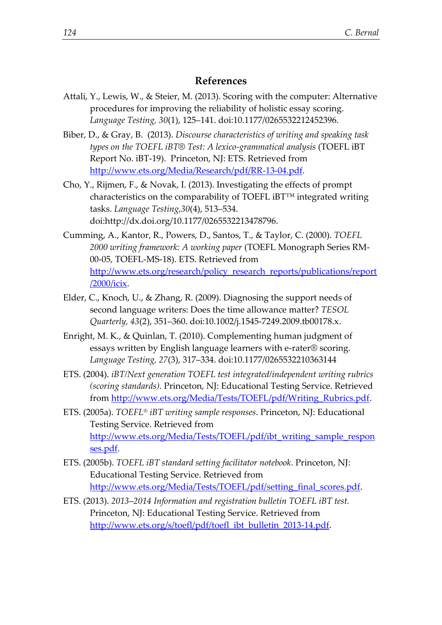#### **References**

- Attali, Y., Lewis, W., & Steier, M. (2013). Scoring with the computer: Alternative procedures for improving the reliability of holistic essay scoring. *Language Testing, 30*(1), 125–141. doi:10.1177/0265532212452396.
- Biber, D., & Gray, B. (2013). *Discourse characteristics of writing and speaking task types on the TOEFL iBT® Test: A lexico-grammatical analysis* (TOEFL iBT Report No. iBT-19). Princeton, NJ: ETS. Retrieved from [http://www.ets.org/Media/Research/pdf/RR-13-04.pdf.](http://www.ets.org/Media/Research/pdf/RR-13-04.pdf)
- Cho, Y., Rijmen, F., & Novak, I. (2013). Investigating the effects of prompt characteristics on the comparability of TOEFL iBT™ integrated writing tasks. *Language Testing,30*(4), 513–534. doi:http://dx.doi.org/10.1177/0265532213478796.
- Cumming, A., Kantor, R., Powers, D., Santos, T., & Taylor, C. (2000). *TOEFL 2000 writing framework: A working paper* (TOEFL Monograph Series RM-00-05, TOEFL-MS-18). ETS. Retrieved from [http://www.ets.org/research/policy\\_research\\_reports/publications/report](http://www.ets.org/research/policy_research_reports/publications/report/2000/icix) [/2000/icix.](http://www.ets.org/research/policy_research_reports/publications/report/2000/icix)
- Elder, C., Knoch, U., & Zhang, R. (2009). Diagnosing the support needs of second language writers: Does the time allowance matter? *TESOL Quarterly, 43*(2), 351–360. doi:10.1002/j.1545-7249.2009.tb00178.x.
- Enright, M. K., & Quinlan, T. (2010). Complementing human judgment of essays written by English language learners with e-rater® scoring. *Language Testing, 27*(3), 317–334. doi:10.1177/0265532210363144
- ETS. (2004). *iBT/Next generation TOEFL test integrated/independent writing rubrics (scoring standards).* Princeton, NJ: Educational Testing Service. Retrieved from [http://www.ets.org/Media/Tests/TOEFL/pdf/Writing\\_Rubrics.pdf.](http://www.ets.org/Media/Tests/TOEFL/pdf/Writing_Rubrics.pdf)
- ETS. (2005a). *TOEFL® iBT writing sample responses*. Princeton, NJ: Educational Testing Service. Retrieved from [http://www.ets.org/Media/Tests/TOEFL/pdf/ibt\\_writing\\_sample\\_respon](http://www.ets.org/Media/Tests/TOEFL/pdf/ibt_writing_sample_responses.pdf) [ses.pdf.](http://www.ets.org/Media/Tests/TOEFL/pdf/ibt_writing_sample_responses.pdf)
- ETS. (2005b). *TOEFL iBT standard setting facilitator notebook*. Princeton, NJ: Educational Testing Service. Retrieved from [http://www.ets.org/Media/Tests/TOEFL/pdf/setting\\_final\\_scores.pdf.](http://www.ets.org/Media/Tests/TOEFL/pdf/setting_final_scores.pdf)
- ETS. (2013). *2013*–*2014 Information and registration bulletin TOEFL iBT test.* Princeton, NJ: Educational Testing Service. Retrieved from [http://www.ets.org/s/toefl/pdf/toefl\\_ibt\\_bulletin\\_2013-14.pdf.](http://www.ets.org/s/toefl/pdf/toefl_ibt_bulletin_2013-14.pdf)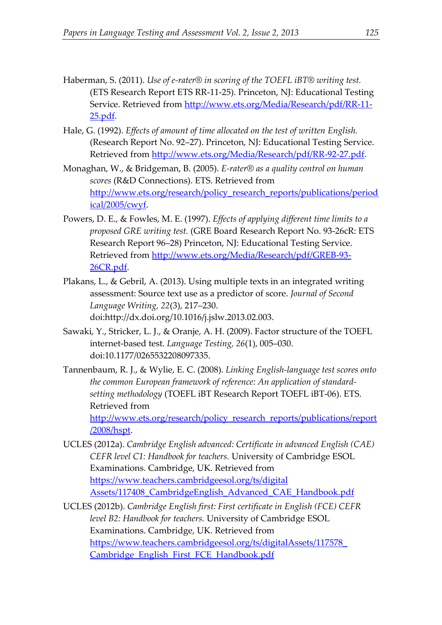- Haberman, S. (2011). *Use of e-rater® in scoring of the TOEFL iBT® writing test.* (ETS Research Report ETS RR-11-25). Princeton, NJ: Educational Testing Service. Retrieved from [http://www.ets.org/Media/Research/pdf/RR-11-](http://www.ets.org/Media/Research/pdf/RR-11-25.pdf) [25.pdf.](http://www.ets.org/Media/Research/pdf/RR-11-25.pdf)
- Hale, G. (1992). *Effects of amount of time allocated on the test of written English.* (Research Report No. 92–27). Princeton, NJ: Educational Testing Service. Retrieved from [http://www.ets.org/Media/Research/pdf/RR-92-27.pdf.](http://www.ets.org/Media/Research/pdf/RR-92-27.pdf)
- Monaghan, W., & Bridgeman, B. (2005). *E-rater® as a quality control on human scores* (R&D Connections). ETS. Retrieved from [http://www.ets.org/research/policy\\_research\\_reports/publications/period](http://www.ets.org/research/policy_research_reports/publications/periodical/2005/cwyf) [ical/2005/cwyf.](http://www.ets.org/research/policy_research_reports/publications/periodical/2005/cwyf)
- Powers, D. E., & Fowles, M. E. (1997). *Effects of applying different time limits to a proposed GRE writing test.* (GRE Board Research Report No. 93-26cR: ETS Research Report 96–28) Princeton, NJ: Educational Testing Service. Retrieved from [http://www.ets.org/Media/Research/pdf/GREB-93-](http://www.ets.org/Media/Research/pdf/GREB-93-26CR.pdf) [26CR.pdf.](http://www.ets.org/Media/Research/pdf/GREB-93-26CR.pdf)
- Plakans, L., & Gebril, A. (2013). Using multiple texts in an integrated writing assessment: Source text use as a predictor of score. *Journal of Second Language Writing, 22*(3), 217–230. doi:http://dx.doi.org/10.1016/j.jslw.2013.02.003.
- Sawaki, Y., Stricker, L. J., & Oranje, A. H. (2009). Factor structure of the TOEFL internet-based test. *Language Testing, 26*(1), 005–030. doi:10.1177/0265532208097335.
- Tannenbaum, R. J., & Wylie, E. C. (2008). *Linking English-language test scores onto the common European framework of reference: An application of standardsetting methodology* (TOEFL iBT Research Report TOEFL iBT-06). ETS. Retrieved from [http://www.ets.org/research/policy\\_research\\_reports/publications/report](http://www.ets.org/research/policy_research_reports/publications/report/2008/hspt) [/2008/hspt.](http://www.ets.org/research/policy_research_reports/publications/report/2008/hspt)
- UCLES (2012a). *Cambridge English advanced: Certificate in advanced English (CAE) CEFR level C1: Handbook for teachers.* University of Cambridge ESOL Examinations. Cambridge, UK. Retrieved from [https://www.teachers.cambridgeesol.org/ts/digital](https://www.teachers.cambridgeesol.org/ts/digital%20Assets/117408_CambridgeEnglish_Advanced_CAE_Handbook.pdf)  [Assets/117408\\_CambridgeEnglish\\_Advanced\\_CAE\\_Handbook.pdf](https://www.teachers.cambridgeesol.org/ts/digital%20Assets/117408_CambridgeEnglish_Advanced_CAE_Handbook.pdf)
- UCLES (2012b). *Cambridge English first: First certificate in English (FCE) CEFR level B2: Handbook for teachers.* University of Cambridge ESOL Examinations. Cambridge, UK. Retrieved from [https://www.teachers.cambridgeesol.org/ts/digitalAssets/117578\\_](https://www.teachers.cambridgeesol.org/ts/digitalAssets/117578_%20Cambridge_English_First_FCE_Handbook.pdf)  [Cambridge\\_English\\_First\\_FCE\\_Handbook.pdf](https://www.teachers.cambridgeesol.org/ts/digitalAssets/117578_%20Cambridge_English_First_FCE_Handbook.pdf)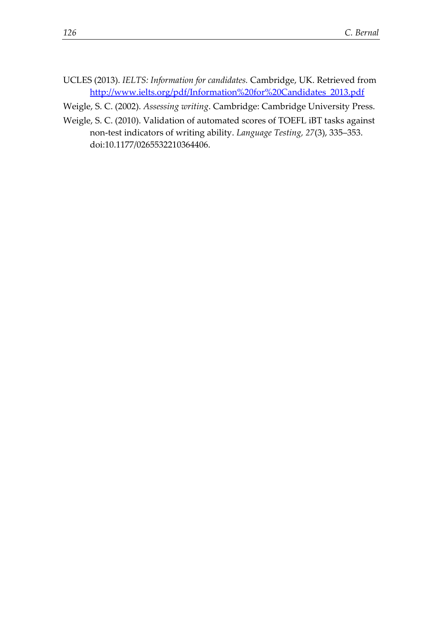- UCLES (2013). *IELTS: Information for candidates.* Cambridge, UK. Retrieved from [http://www.ielts.org/pdf/Information%20for%20Candidates\\_2013.pdf](http://www.ielts.org/pdf/Information%20for%20Candidates_2013.pdf)
- Weigle, S. C. (2002). *Assessing writing*. Cambridge: Cambridge University Press.
- Weigle, S. C. (2010). Validation of automated scores of TOEFL iBT tasks against non-test indicators of writing ability. *Language Testing, 27*(3), 335–353. doi:10.1177/0265532210364406.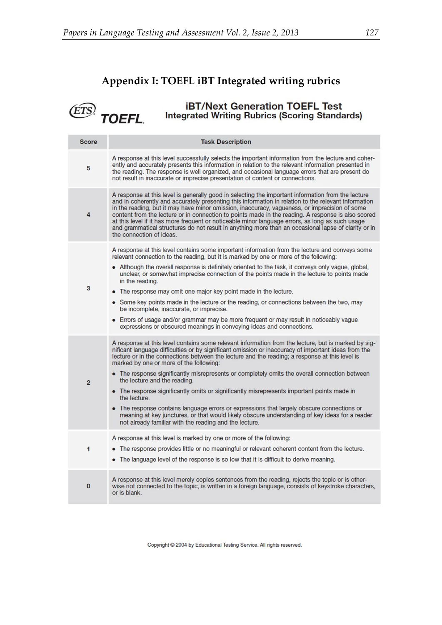(ETS)

# **Appendix I: TOEFL iBT Integrated writing rubrics**

**iBT/Next Generation TOEFL Test**<br>Integrated Writing Rubrics (Scoring Standards) TOEFL.

| <b>Score</b>   | <b>Task Description</b>                                                                                                                                                                                                                                                                                                                                                                                                                                                                                                                                                                                                                                                                                                                                                                                                                                          |
|----------------|------------------------------------------------------------------------------------------------------------------------------------------------------------------------------------------------------------------------------------------------------------------------------------------------------------------------------------------------------------------------------------------------------------------------------------------------------------------------------------------------------------------------------------------------------------------------------------------------------------------------------------------------------------------------------------------------------------------------------------------------------------------------------------------------------------------------------------------------------------------|
| 5              | A response at this level successfully selects the important information from the lecture and coher-<br>ently and accurately presents this information in relation to the relevant information presented in<br>the reading. The response is well organized, and occasional language errors that are present do<br>not result in inaccurate or imprecise presentation of content or connections.                                                                                                                                                                                                                                                                                                                                                                                                                                                                   |
| 4              | A response at this level is generally good in selecting the important information from the lecture<br>and in coherently and accurately presenting this information in relation to the relevant information<br>in the reading, but it may have minor omission, inaccuracy, vagueness, or imprecision of some<br>content from the lecture or in connection to points made in the reading. A response is also scored<br>at this level if it has more frequent or noticeable minor language errors, as long as such usage<br>and grammatical structures do not result in anything more than an occasional lapse of clarity or in<br>the connection of ideas.                                                                                                                                                                                                         |
| 3              | A response at this level contains some important information from the lecture and conveys some<br>relevant connection to the reading, but it is marked by one or more of the following:<br>• Although the overall response is definitely oriented to the task, it conveys only vague, global,<br>unclear, or somewhat imprecise connection of the points made in the lecture to points made<br>in the reading.<br>• The response may omit one major key point made in the lecture.<br>• Some key points made in the lecture or the reading, or connections between the two, may<br>be incomplete, inaccurate, or imprecise.<br>• Errors of usage and/or grammar may be more frequent or may result in noticeably vague<br>expressions or obscured meanings in conveying ideas and connections.                                                                   |
| $\overline{2}$ | A response at this level contains some relevant information from the lecture, but is marked by sig-<br>nificant language difficulties or by significant omission or inaccuracy of important ideas from the<br>lecture or in the connections between the lecture and the reading; a response at this level is<br>marked by one or more of the following:<br>• The response significantly misrepresents or completely omits the overall connection between<br>the lecture and the reading.<br>• The response significantly omits or significantly misrepresents important points made in<br>the lecture.<br>• The response contains language errors or expressions that largely obscure connections or<br>meaning at key junctures, or that would likely obscure understanding of key ideas for a reader<br>not already familiar with the reading and the lecture. |
| 1              | A response at this level is marked by one or more of the following:<br>• The response provides little or no meaningful or relevant coherent content from the lecture.<br>• The language level of the response is so low that it is difficult to derive meaning.                                                                                                                                                                                                                                                                                                                                                                                                                                                                                                                                                                                                  |
| $\mathbf{0}$   | A response at this level merely copies sentences from the reading, rejects the topic or is other-<br>wise not connected to the topic, is written in a foreign language, consists of keystroke characters,<br>or is blank.                                                                                                                                                                                                                                                                                                                                                                                                                                                                                                                                                                                                                                        |

Copyright @ 2004 by Educational Testing Service. All rights reserved.